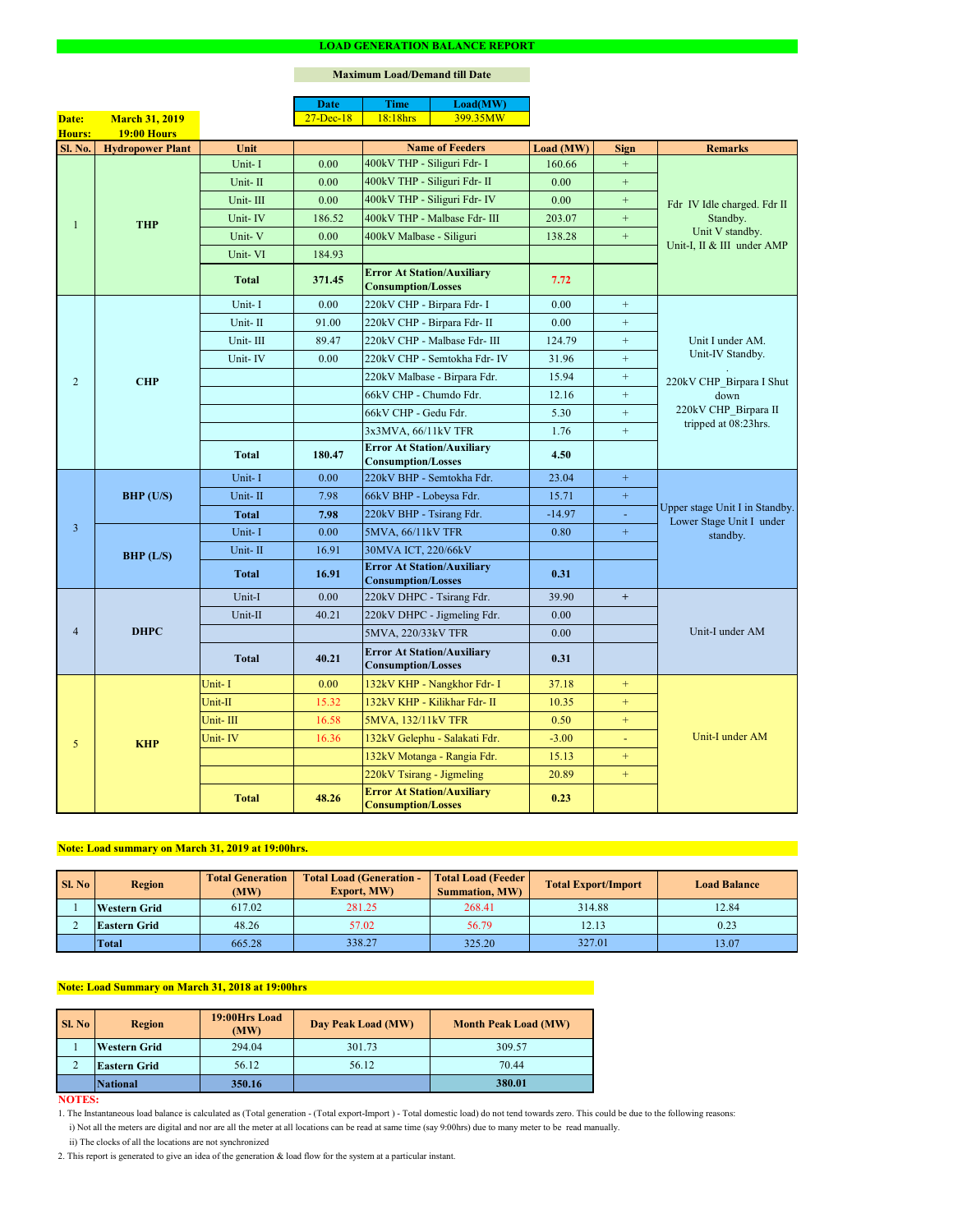#### **NOTES:**

2. This report is generated to give an idea of the generation & load flow for the system at a particular instant.

### **Maximum Load/Demand till Date**

ii) The clocks of all the locations are not synchronized

1. The Instantaneous load balance is calculated as (Total generation - (Total export-Import ) - Total domestic load) do not tend towards zero. This could be due to the following reasons:

| <b>Sl. No</b> | <b>Region</b>       | <b>Total Load (Generation -</b><br><b>Total Generation</b><br><b>Export, MW)</b><br>(MW) |        | <b>Total Load (Feeder)</b><br><b>Summation, MW)</b> | <b>Total Export/Import</b> | <b>Load Balance</b> |
|---------------|---------------------|------------------------------------------------------------------------------------------|--------|-----------------------------------------------------|----------------------------|---------------------|
|               | <b>Western Grid</b> | 617.02                                                                                   | 281.25 | 268.41                                              | 314.88                     | 12.84               |
|               | <b>Eastern Grid</b> | 48.26                                                                                    | 57.02  | 56.79                                               | 12.13                      | 0.23                |
|               | <b>Total</b>        | 665.28                                                                                   | 338.27 | 325.20                                              | 327.01                     | 13.07               |

| SI. No | <b>Region</b>       | 19:00Hrs Load<br>(MW) | Day Peak Load (MW) | <b>Month Peak Load (MW)</b> |
|--------|---------------------|-----------------------|--------------------|-----------------------------|
|        | <b>Western Grid</b> | 294.04                | 301.73             | 309.57                      |
|        | <b>Eastern Grid</b> | 56.12                 | 56.12              | 70.44                       |
|        | <b>National</b>     | 350.16                |                    | 380.01                      |

# **Note: Load summary on March 31, 2019 at 19:00hrs.**

|                |                         |              | <b>Date</b>   | <b>Time</b>                                                    | Load(MW)                      |           |                  |                                                                                          |  |
|----------------|-------------------------|--------------|---------------|----------------------------------------------------------------|-------------------------------|-----------|------------------|------------------------------------------------------------------------------------------|--|
| Date:          | <b>March 31, 2019</b>   |              | $27 - Dec-18$ | 18:18hrs                                                       | 399.35MW                      |           |                  |                                                                                          |  |
| <b>Hours:</b>  | <b>19:00 Hours</b>      |              |               |                                                                |                               |           |                  |                                                                                          |  |
| <b>Sl. No.</b> | <b>Hydropower Plant</b> | Unit         |               |                                                                | <b>Name of Feeders</b>        | Load (MW) | <b>Sign</b>      | <b>Remarks</b>                                                                           |  |
|                | <b>THP</b>              | Unit-I       | 0.00          | 400kV THP - Siliguri Fdr- I                                    |                               | 160.66    | $+$              |                                                                                          |  |
|                |                         | Unit-II      | 0.00          | 400kV THP - Siliguri Fdr- II                                   |                               | 0.00      | $\boldsymbol{+}$ |                                                                                          |  |
|                |                         | Unit-III     | 0.00          |                                                                | 400kV THP - Siliguri Fdr- IV  | 0.00      | $+$              | Fdr IV Idle charged. Fdr II<br>Standby.<br>Unit V standby.<br>Unit-I, II & III under AMP |  |
|                |                         | Unit-IV      | 186.52        |                                                                | 400kV THP - Malbase Fdr- III  | 203.07    | $+$              |                                                                                          |  |
|                |                         | Unit-V       | 0.00          | 400kV Malbase - Siliguri                                       |                               | 138.28    | $\boldsymbol{+}$ |                                                                                          |  |
|                |                         | Unit-VI      | 184.93        |                                                                |                               |           |                  |                                                                                          |  |
|                |                         | <b>Total</b> | 371.45        | <b>Error At Station/Auxiliary</b><br><b>Consumption/Losses</b> |                               | 7.72      |                  |                                                                                          |  |
|                |                         | Unit-I       | 0.00          | 220kV CHP - Birpara Fdr- I                                     |                               | 0.00      | $+$              |                                                                                          |  |
|                |                         | Unit-II      | 91.00         | 220kV CHP - Birpara Fdr- II                                    |                               | 0.00      | $+$              |                                                                                          |  |
|                |                         | Unit-III     | 89.47         |                                                                | 220kV CHP - Malbase Fdr- III  | 124.79    | $+$              | Unit I under AM.                                                                         |  |
|                |                         | Unit-IV      | 0.00          |                                                                | 220kV CHP - Semtokha Fdr- IV  | 31.96     | $+$              | Unit-IV Standby.                                                                         |  |
| $\overline{2}$ | <b>CHP</b>              |              |               |                                                                | 220kV Malbase - Birpara Fdr.  | 15.94     | $\pm$            | 220kV CHP Birpara I Shut                                                                 |  |
|                |                         |              |               | 66kV CHP - Chumdo Fdr.                                         |                               | 12.16     | $\pm$            | down<br>220kV CHP_Birpara II                                                             |  |
|                |                         |              |               | 66kV CHP - Gedu Fdr.                                           |                               | 5.30      | $\pm$            |                                                                                          |  |
|                |                         |              |               | 3x3MVA, 66/11kV TFR                                            |                               | 1.76      | $+$              | tripped at 08:23hrs.                                                                     |  |
|                |                         | <b>Total</b> | 180.47        | <b>Error At Station/Auxiliary</b><br><b>Consumption/Losses</b> |                               | 4.50      |                  |                                                                                          |  |
|                | <b>BHP</b> (U/S)        | Unit-I       | 0.00          | 220kV BHP - Semtokha Fdr.                                      |                               | 23.04     | $\pm$            | Upper stage Unit I in Standby.<br>Lower Stage Unit I under<br>standby.                   |  |
|                |                         | Unit-II      | 7.98          | 66kV BHP - Lobeysa Fdr.                                        |                               | 15.71     | $\pm$            |                                                                                          |  |
|                |                         | <b>Total</b> | 7.98          | 220kV BHP - Tsirang Fdr.                                       |                               | $-14.97$  |                  |                                                                                          |  |
| $\overline{3}$ |                         | Unit-I       | 0.00          | 5MVA, 66/11kV TFR                                              |                               | 0.80      | $+$              |                                                                                          |  |
|                | BHP (L/S)               | Unit-II      | 16.91         | 30MVA ICT, 220/66kV                                            |                               |           |                  |                                                                                          |  |
|                |                         | <b>Total</b> | 16.91         | <b>Error At Station/Auxiliary</b>                              |                               | 0.31      |                  |                                                                                          |  |
|                |                         |              | 0.00          | <b>Consumption/Losses</b><br>220kV DHPC - Tsirang Fdr.         |                               | 39.90     |                  |                                                                                          |  |
|                | <b>DHPC</b>             | Unit-I       |               |                                                                |                               |           | $+$              |                                                                                          |  |
| $\overline{4}$ |                         | Unit-II      | 40.21         |                                                                | 220kV DHPC - Jigmeling Fdr.   | 0.00      |                  | Unit-I under AM                                                                          |  |
|                |                         |              |               | 5MVA, 220/33kV TFR                                             |                               | 0.00      |                  |                                                                                          |  |
|                |                         | <b>Total</b> | 40.21         | <b>Error At Station/Auxiliary</b><br><b>Consumption/Losses</b> |                               | 0.31      |                  |                                                                                          |  |
|                |                         | Unit-I       | 0.00          |                                                                | 132kV KHP - Nangkhor Fdr- I   | 37.18     | $+$              |                                                                                          |  |
|                |                         | Unit-II      | 15.32         |                                                                | 132kV KHP - Kilikhar Fdr- II  | 10.35     | $+$              |                                                                                          |  |
|                | <b>KHP</b>              | Unit-III     | 16.58         | 5MVA, 132/11kV TFR                                             |                               | 0.50      | $\pm$            |                                                                                          |  |
| 5              |                         | Unit-IV      | 16.36         |                                                                | 132kV Gelephu - Salakati Fdr. | $-3.00$   | $\equiv$         | Unit-I under AM                                                                          |  |
|                |                         |              |               |                                                                | 132kV Motanga - Rangia Fdr.   | 15.13     | $+$              |                                                                                          |  |
|                |                         |              |               | 220kV Tsirang - Jigmeling                                      |                               | 20.89     | $\pm$            |                                                                                          |  |
|                |                         | <b>Total</b> | 48.26         | <b>Error At Station/Auxiliary</b><br><b>Consumption/Losses</b> |                               | 0.23      |                  |                                                                                          |  |

i) Not all the meters are digital and nor are all the meter at all locations can be read at same time (say 9:00hrs) due to many meter to be read manually.

# **Note: Load Summary on March 31, 2018 at 19:00hrs**

#### **LOAD GENERATION BALANCE REPORT**